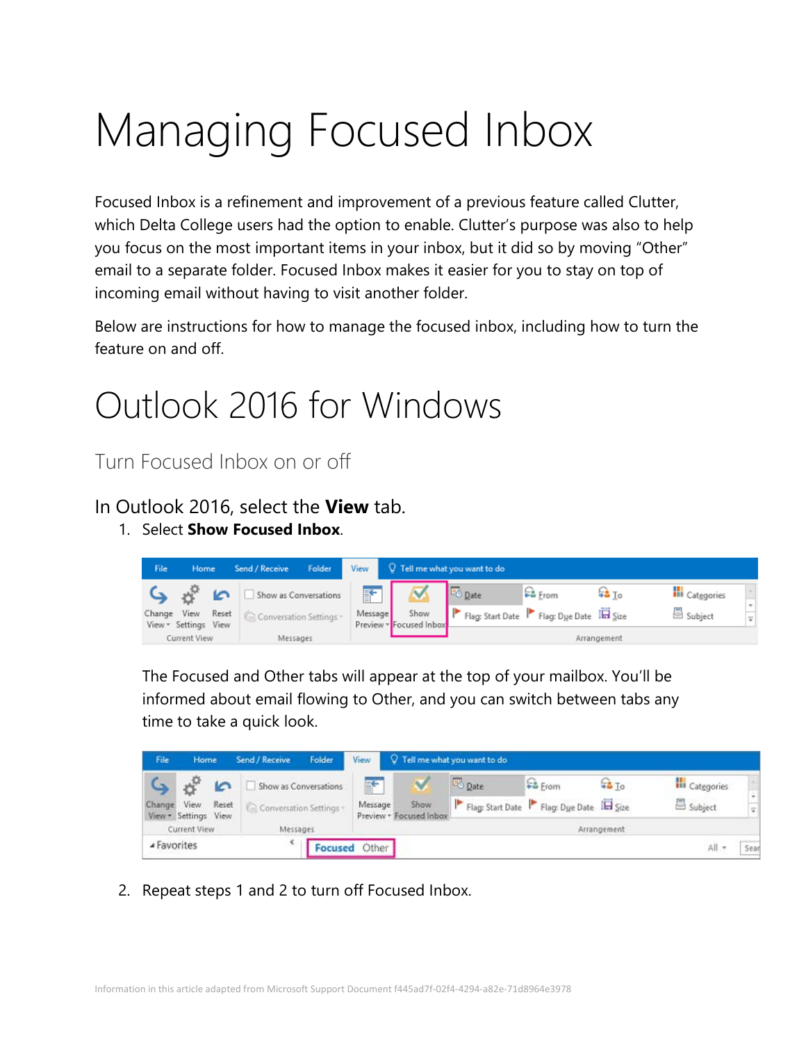# Managing Focused Inbox

Focused Inbox is a refinement and improvement of a previous feature called Clutter, which Delta College users had the option to enable. Clutter's purpose was also to help you focus on the most important items in your inbox, but it did so by moving "Other" email to a separate folder. Focused Inbox makes it easier for you to stay on top of incoming email without having to visit another folder.

Below are instructions for how to manage the focused inbox, including how to turn the feature on and off.

## Outlook 2016 for Windows

Turn Focused Inbox on or off

In Outlook 2016, select the **View** tab.

1. Select **Show Focused Inbox**.



The Focused and Other tabs will appear at the top of your mailbox. You'll be informed about email flowing to Other, and you can switch between tabs any time to take a quick look.

| File         | Home                         |          | Send / Receive        | Folder                | View          | Q Tell me what you want to do   |       |                                         |                  |                       |                   |
|--------------|------------------------------|----------|-----------------------|-----------------------|---------------|---------------------------------|-------|-----------------------------------------|------------------|-----------------------|-------------------|
|              |                              | "        |                       | Show as Conversations | F             |                                 | Date: | <b>E&amp;</b> From                      | <b>F&amp; To</b> | <b>III</b> Categories |                   |
| Change       | View<br>View * Settings View | Reset    | Conversation Settings |                       | Message       | Show<br>Preview - Focused Inbox |       | Flag: Start Date Flag: Due Date IL Size |                  | Subject               | $\overline{\psi}$ |
| Current View |                              | Messages |                       | Arrangement           |               |                                 |       |                                         |                  |                       |                   |
| ▲ Favorites  |                              |          |                       |                       | Focused Other |                                 |       |                                         |                  | All =                 | Sear              |

2. Repeat steps 1 and 2 to turn off Focused Inbox.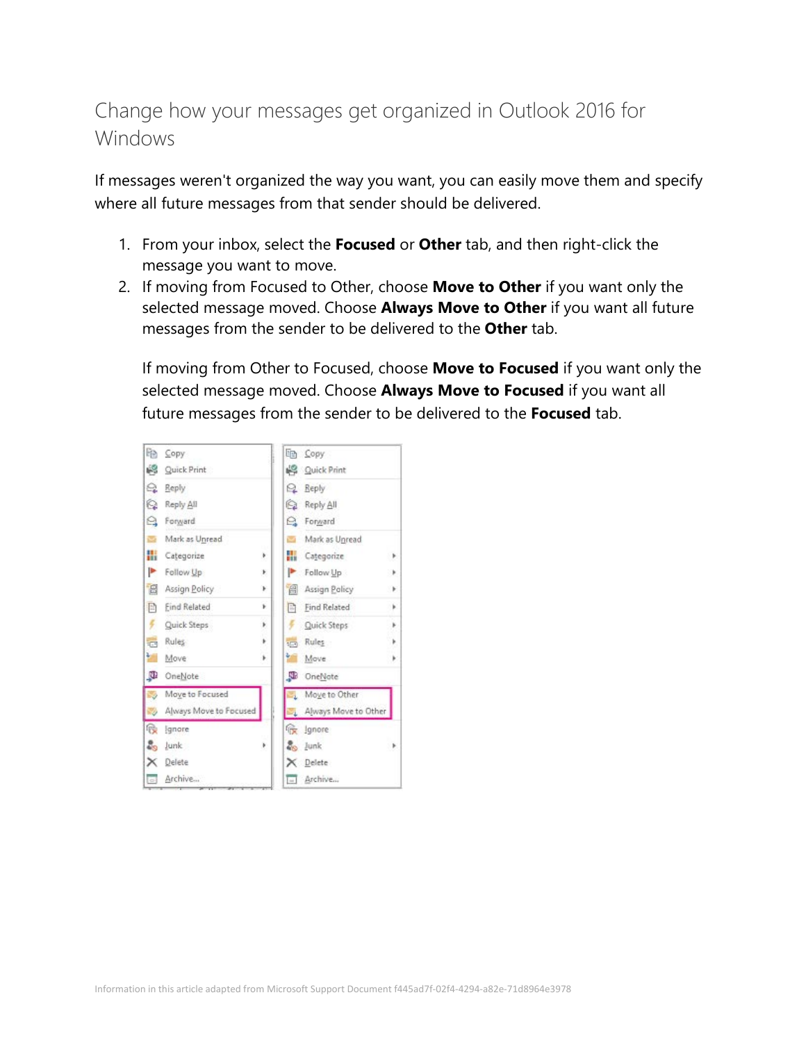### Change how your messages get organized in Outlook 2016 for Windows

If messages weren't organized the way you want, you can easily move them and specify where all future messages from that sender should be delivered.

- 1. From your inbox, select the **Focused** or **Other** tab, and then right-click the message you want to move.
- 2. If moving from Focused to Other, choose **Move to Other** if you want only the selected message moved. Choose **Always Move to Other** if you want all future messages from the sender to be delivered to the **Other** tab.

If moving from Other to Focused, choose **Move to Focused** if you want only the selected message moved. Choose **Always Move to Focused** if you want all future messages from the sender to be delivered to the **Focused** tab.

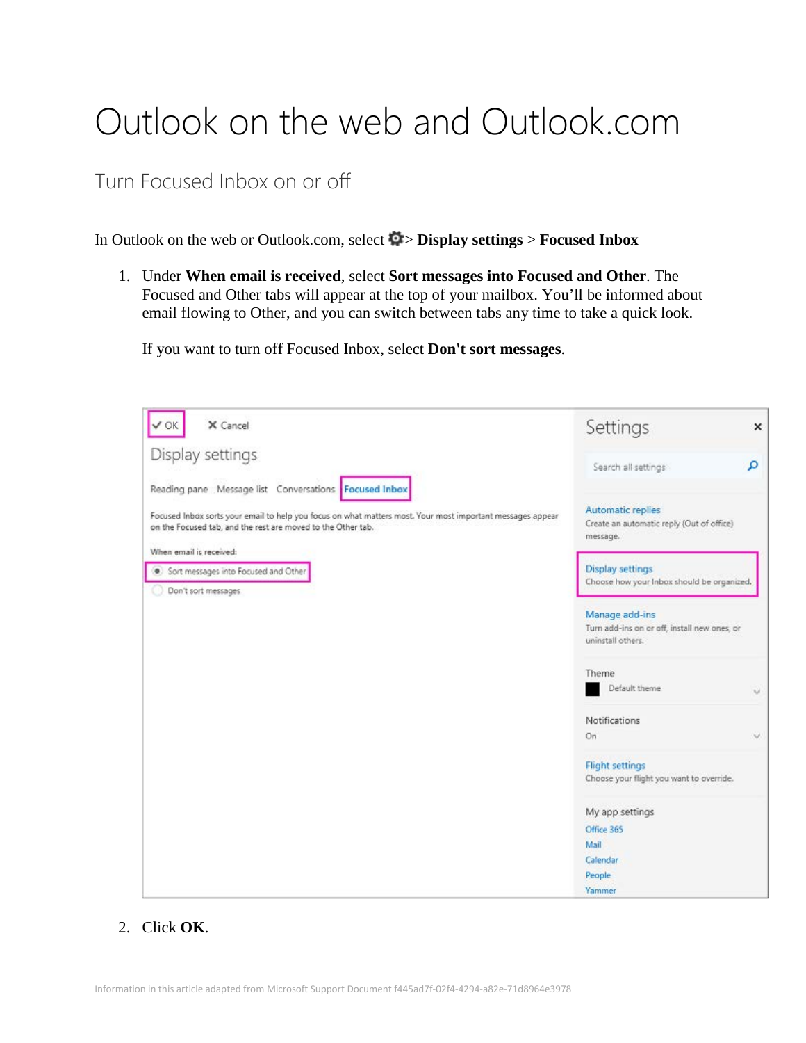# Outlook on the web and Outlook.com

Turn Focused Inbox on or off

In Outlook on the web or Outlook.com, select  $\bullet$  > **Display settings** > **Focused Inbox** 

1. Under **When email is received**, select **Sort messages into Focused and Other**. The Focused and Other tabs will appear at the top of your mailbox. You'll be informed about email flowing to Other, and you can switch between tabs any time to take a quick look.

If you want to turn off Focused Inbox, select **Don't sort messages**.

| X Cancel                                                                                                                                                                                                                                                       | Settings                                                                            | ×  |  |  |
|----------------------------------------------------------------------------------------------------------------------------------------------------------------------------------------------------------------------------------------------------------------|-------------------------------------------------------------------------------------|----|--|--|
| Display settings                                                                                                                                                                                                                                               | Search all settings                                                                 | م  |  |  |
| Reading pane Message list Conversations Focused Inbox<br>Focused Inbox sorts your email to help you focus on what matters most. Your most important messages appear<br>on the Focused tab, and the rest are moved to the Other tab.<br>When email is received: | Automatic replies<br>Create an automatic reply (Out of office)<br>message.          |    |  |  |
| Sort messages into Focused and Other                                                                                                                                                                                                                           | <b>Display settings</b>                                                             |    |  |  |
| Don't sort messages.                                                                                                                                                                                                                                           | Choose how your Inbox should be organized.                                          |    |  |  |
|                                                                                                                                                                                                                                                                | Manage add-ins<br>Turn add-ins on or off, install new ones, or<br>uninstall others. |    |  |  |
|                                                                                                                                                                                                                                                                | Theme                                                                               |    |  |  |
|                                                                                                                                                                                                                                                                | Default theme                                                                       | v  |  |  |
|                                                                                                                                                                                                                                                                | Notifications                                                                       |    |  |  |
|                                                                                                                                                                                                                                                                | On                                                                                  | w. |  |  |
|                                                                                                                                                                                                                                                                | <b>Flight settings</b><br>Choose your flight you want to override.                  |    |  |  |
|                                                                                                                                                                                                                                                                | My app settings                                                                     |    |  |  |
|                                                                                                                                                                                                                                                                | Office 365                                                                          |    |  |  |
|                                                                                                                                                                                                                                                                | Mail                                                                                |    |  |  |
|                                                                                                                                                                                                                                                                | Calendar                                                                            |    |  |  |
|                                                                                                                                                                                                                                                                | People<br>Yammer                                                                    |    |  |  |

#### 2. Click **OK**.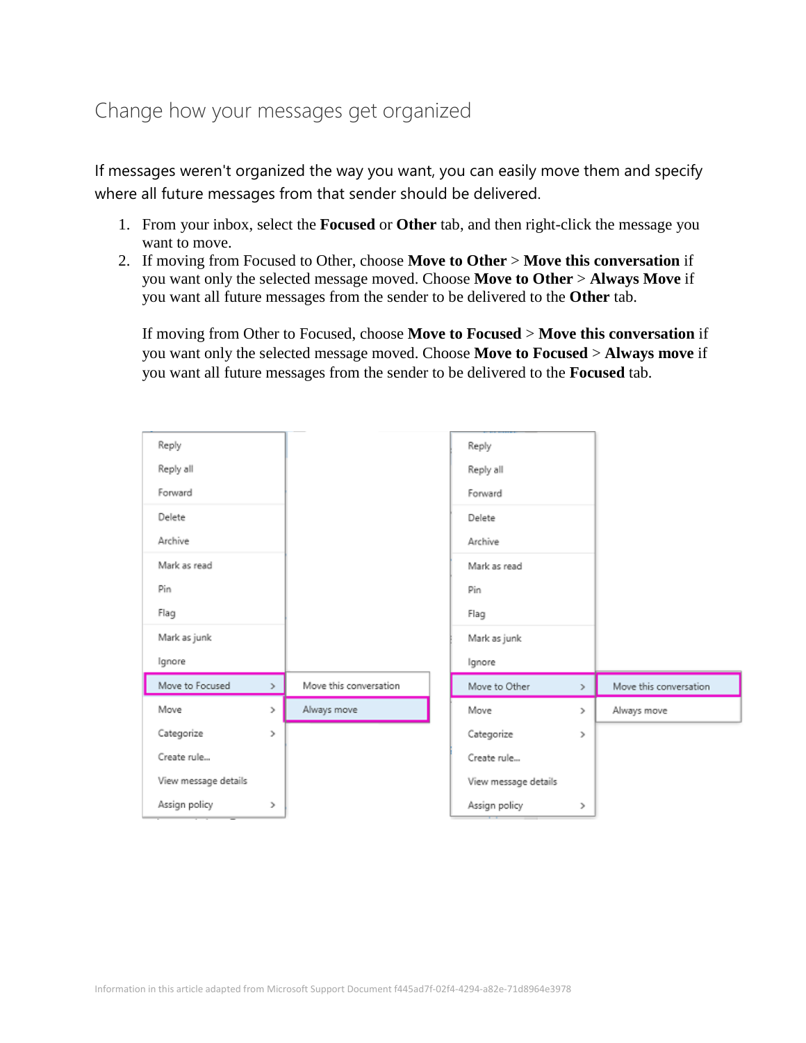### Change how your messages get organized

If messages weren't organized the way you want, you can easily move them and specify where all future messages from that sender should be delivered.

- 1. From your inbox, select the **Focused** or **Other** tab, and then right-click the message you want to move.
- 2. If moving from Focused to Other, choose **Move to Other** > **Move this conversation** if you want only the selected message moved. Choose **Move to Other** > **Always Move** if you want all future messages from the sender to be delivered to the **Other** tab.

If moving from Other to Focused, choose **Move to Focused** > **Move this conversation** if you want only the selected message moved. Choose **Move to Focused** > **Always move** if you want all future messages from the sender to be delivered to the **Focused** tab.

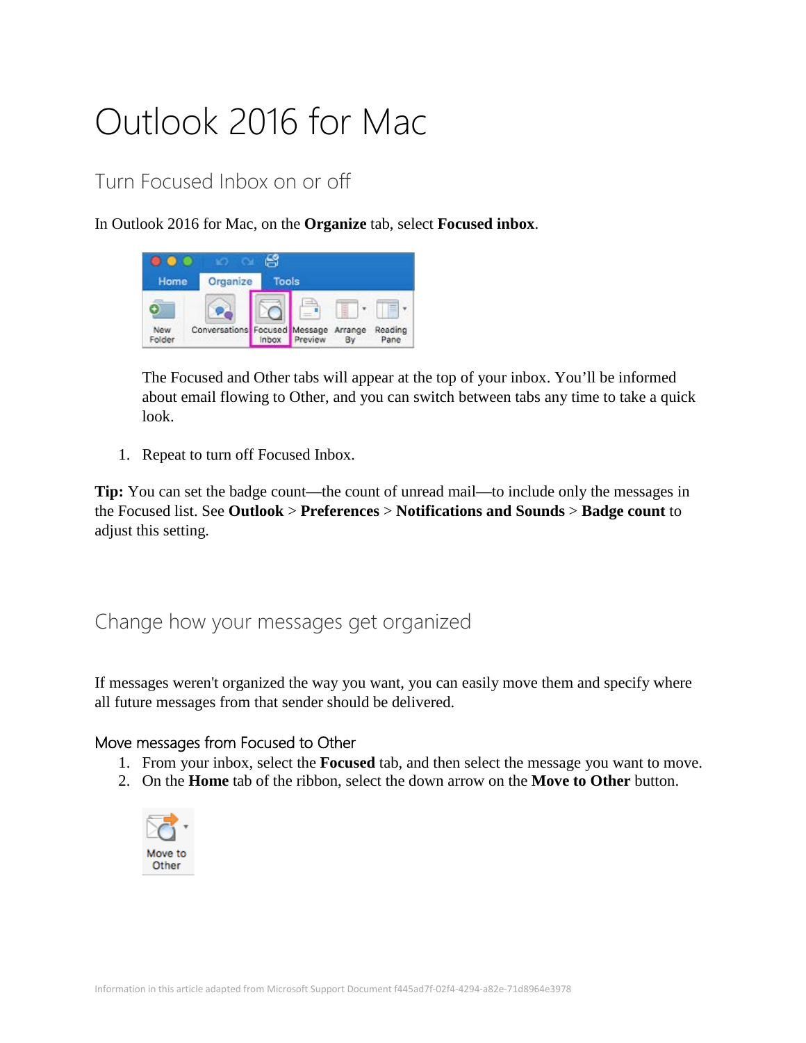# Outlook 2016 for Mac

### Turn Focused Inbox on or off

In Outlook 2016 for Mac, on the **Organize** tab, select **Focused inbox**.



The Focused and Other tabs will appear at the top of your inbox. You'll be informed about email flowing to Other, and you can switch between tabs any time to take a quick look.

1. Repeat to turn off Focused Inbox.

**Tip:** You can set the badge count—the count of unread mail—to include only the messages in the Focused list. See **Outlook** > **Preferences** > **Notifications and Sounds** > **Badge count** to adjust this setting.

#### Change how your messages get organized

If messages weren't organized the way you want, you can easily move them and specify where all future messages from that sender should be delivered.

#### Move messages from Focused to Other

- 1. From your inbox, select the **Focused** tab, and then select the message you want to move.
- 2. On the **Home** tab of the ribbon, select the down arrow on the **Move to Other** button.